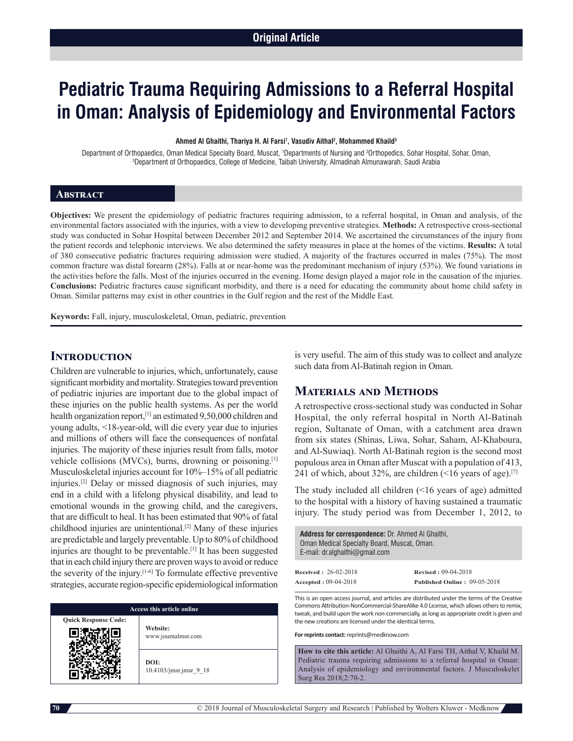# **Pediatric Trauma Requiring Admissions to a Referral Hospital in Oman: Analysis of Epidemiology and Environmental Factors**

#### **Ahmed Al Ghaithi, Thariya H. Al Farsi1 , Vasudiv Aithal2 , Mohammed Khaild3**

Department of Orthopaedics, Oman Medical Specialty Board, Muscat, <sup>1</sup>Departments of Nursing and <sup>2</sup>Orthopedics, Sohar Hospital, Sohar, Oman, 3 Department of Orthopaedics, College of Medicine, Taibah University, Almadinah Almunawarah, Saudi Arabia

## **Abstract**

**Objectives:** We present the epidemiology of pediatric fractures requiring admission, to a referral hospital, in Oman and analysis, of the environmental factors associated with the injuries, with a view to developing preventive strategies. **Methods:** A retrospective cross‑sectional study was conducted in Sohar Hospital between December 2012 and September 2014. We ascertained the circumstances of the injury from the patient records and telephonic interviews. We also determined the safety measures in place at the homes of the victims. **Results:** A total of 380 consecutive pediatric fractures requiring admission were studied. A majority of the fractures occurred in males (75%). The most common fracture was distal forearm (28%). Falls at or near-home was the predominant mechanism of injury (53%). We found variations in the activities before the falls. Most of the injuries occurred in the evening. Home design played a major role in the causation of the injuries. **Conclusions:** Pediatric fractures cause significant morbidity, and there is a need for educating the community about home child safety in Oman. Similar patterns may exist in other countries in the Gulf region and the rest of the Middle East.

**Keywords:** Fall, injury, musculoskeletal, Oman, pediatric, prevention

## **Introduction**

Children are vulnerable to injuries, which, unfortunately, cause significant morbidity and mortality. Strategies toward prevention of pediatric injuries are important due to the global impact of these injuries on the public health systems. As per the world health organization report,[1] an estimated 9,50,000 children and young adults, <18‑year‑old, will die every year due to injuries and millions of others will face the consequences of nonfatal injuries. The majority of these injuries result from falls, motor vehicle collisions (MVCs), burns, drowning or poisoning.[1] Musculoskeletal injuries account for 10%–15% of all pediatric injuries.[2] Delay or missed diagnosis of such injuries, may end in a child with a lifelong physical disability, and lead to emotional wounds in the growing child, and the caregivers, that are difficult to heal. It has been estimated that 90% of fatal childhood injuries are unintentional.[2] Many of these injuries are predictable and largely preventable. Up to 80% of childhood injuries are thought to be preventable.[1] It has been suggested that in each child injury there are proven ways to avoid or reduce the severity of the injury.[1-6] To formulate effective preventive strategies, accurate region‑specific epidemiological information

#### **Access this article online**

**Quick Response Code:**

**Website:** www.journalmsr.com

**DOI:** 10.4103/jmsr.jmsr\_9\_18 is very useful. The aim of this study was to collect and analyze such data from Al-Batinah region in Oman.

# **Materials and Methods**

A retrospective cross‑sectional study was conducted in Sohar Hospital, the only referral hospital in North Al-Batinah region, Sultanate of Oman, with a catchment area drawn from six states (Shinas, Liwa, Sohar, Saham, Al‑Khaboura, and Al‑Suwiaq). North Al‑Batinah region is the second most populous area in Oman after Muscat with a population of 413, 241 of which, about 32%, are children  $($  <16 years of age).<sup>[7]</sup>

The study included all children (<16 years of age) admitted to the hospital with a history of having sustained a traumatic injury. The study period was from December 1, 2012, to

| <b>Address for correspondence: Dr. Ahmed Al Ghaithi,</b><br>Oman Medical Specialty Board, Muscat, Oman.<br>E-mail: dr.alghaithi@gmail.com |                              |
|-------------------------------------------------------------------------------------------------------------------------------------------|------------------------------|
| <b>Received: 26-02-2018</b>                                                                                                               | <b>Revised: 09-04-2018</b>   |
| Accepted: 09-04-2018                                                                                                                      | Published Online: 09-05-2018 |

This is an open access journal, and articles are distributed under the terms of the Creative Commons Attribution-NonCommercial-ShareAlike 4.0 License, which allows others to remix, tweak, and build upon the work non-commercially, as long as appropriate credit is given and the new creations are licensed under the identical terms.

**For reprints contact:** reprints@medknow.com

**How to cite this article:** Al Ghaithi A, Al Farsi TH, Aithal V, Khaild M. Pediatric trauma requiring admissions to a referral hospital in Oman: Analysis of epidemiology and environmental factors. J Musculoskelet Surg Res 2018;2:70-2.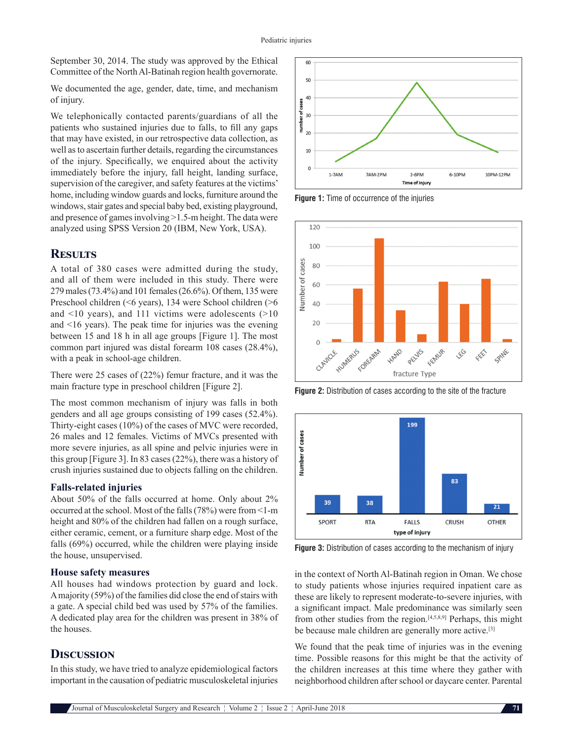September 30, 2014. The study was approved by the Ethical Committee of the North Al‑Batinah region health governorate.

We documented the age, gender, date, time, and mechanism of injury.

We telephonically contacted parents/guardians of all the patients who sustained injuries due to falls, to fill any gaps that may have existed, in our retrospective data collection, as well as to ascertain further details, regarding the circumstances of the injury. Specifically, we enquired about the activity immediately before the injury, fall height, landing surface, supervision of the caregiver, and safety features at the victims' home, including window guards and locks, furniture around the windows, stair gates and special baby bed, existing playground, and presence of games involving >1.5‑m height. The data were analyzed using SPSS Version 20 (IBM, New York, USA).

# **Results**

A total of 380 cases were admitted during the study, and all of them were included in this study. There were 279males(73.4%) and 101 females(26.6%). Of them, 135 were Preschool children (<6 years), 134 were School children (>6 and  $\leq 10$  years), and 111 victims were adolescents ( $\geq 10$ ) and <16 years). The peak time for injuries was the evening between 15 and 18 h in all age groups [Figure 1]. The most common part injured was distal forearm 108 cases (28.4%), with a peak in school-age children.

There were 25 cases of (22%) femur fracture, and it was the main fracture type in preschool children [Figure 2].

The most common mechanism of injury was falls in both genders and all age groups consisting of 199 cases (52.4%). Thirty-eight cases (10%) of the cases of MVC were recorded, 26 males and 12 females. Victims of MVCs presented with more severe injuries, as all spine and pelvic injuries were in this group [Figure 3]. In 83 cases(22%), there was a history of crush injuries sustained due to objects falling on the children.

## **Falls‑related injuries**

About 50% of the falls occurred at home. Only about 2% occurred at the school. Most of the falls(78%) were from <1‑m height and 80% of the children had fallen on a rough surface, either ceramic, cement, or a furniture sharp edge. Most of the falls (69%) occurred, while the children were playing inside the house, unsupervised.

### **House safety measures**

All houses had windows protection by guard and lock. Amajority (59%) of the families did close the end of stairs with a gate. A special child bed was used by 57% of the families. A dedicated play area for the children was present in 38% of the houses.

## **Discussion**

In this study, we have tried to analyze epidemiological factors important in the causation of pediatric musculoskeletal injuries



**Figure 1:** Time of occurrence of the injuries



**Figure 2:** Distribution of cases according to the site of the fracture



**Figure 3:** Distribution of cases according to the mechanism of injury

in the context of North Al-Batinah region in Oman. We chose to study patients whose injuries required inpatient care as these are likely to represent moderate-to-severe injuries, with a significant impact. Male predominance was similarly seen from other studies from the region.[4,5,8,9] Perhaps, this might be because male children are generally more active.[3]

We found that the peak time of injuries was in the evening time. Possible reasons for this might be that the activity of the children increases at this time where they gather with neighborhood children after school or daycare center. Parental